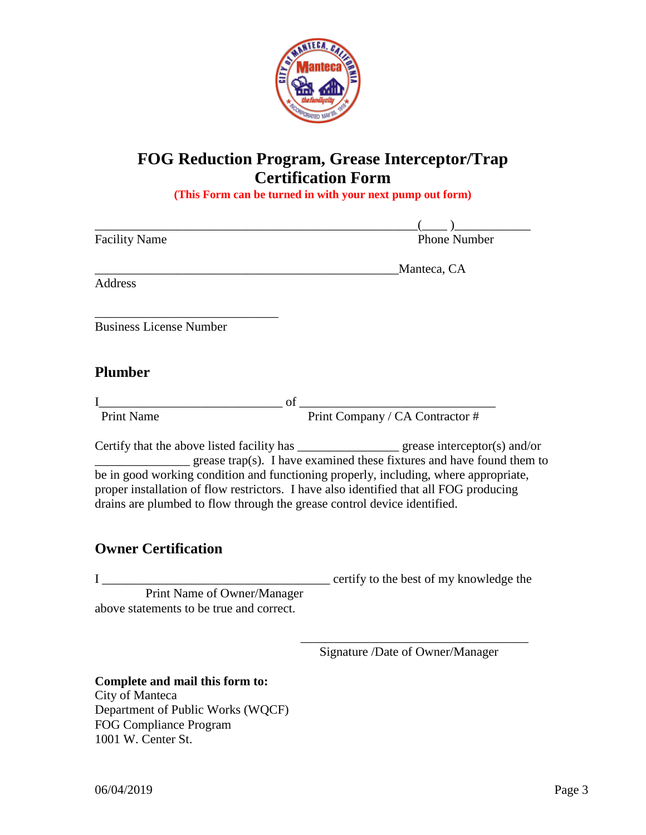

## **FOG Reduction Program, Grease Interceptor/Trap Certification Form**

**(This Form can be turned in with your next pump out form)**

|                                                                                                                                                                                    | $($ $)$                                                                                                                                                                                                                                                                   |
|------------------------------------------------------------------------------------------------------------------------------------------------------------------------------------|---------------------------------------------------------------------------------------------------------------------------------------------------------------------------------------------------------------------------------------------------------------------------|
| <b>Facility Name</b>                                                                                                                                                               | <b>Phone Number</b>                                                                                                                                                                                                                                                       |
|                                                                                                                                                                                    | Manteca, CA                                                                                                                                                                                                                                                               |
| <b>Address</b>                                                                                                                                                                     |                                                                                                                                                                                                                                                                           |
| <b>Business License Number</b>                                                                                                                                                     |                                                                                                                                                                                                                                                                           |
|                                                                                                                                                                                    |                                                                                                                                                                                                                                                                           |
| <b>Plumber</b>                                                                                                                                                                     |                                                                                                                                                                                                                                                                           |
| $\frac{1}{\text{print } \cdot \cdot \cdot}$ of $\frac{1}{\text{print } \cdot \cdot \cdot}$ $\frac{1}{\text{print } \cdot \cdot \cdot}$ $\frac{1}{\text{print } \cdot \cdot \cdot}$ |                                                                                                                                                                                                                                                                           |
| <b>Print Name</b>                                                                                                                                                                  |                                                                                                                                                                                                                                                                           |
| proper installation of flow restrictors. I have also identified that all FOG producing<br>drains are plumbed to flow through the grease control device identified.                 | Certify that the above listed facility has __________________ grease interceptor(s) and/or<br>$\frac{1}{2}$ grease trap(s). I have examined these fixtures and have found them to<br>be in good working condition and functioning properly, including, where appropriate, |
| <b>Owner Certification</b>                                                                                                                                                         |                                                                                                                                                                                                                                                                           |
| Print Name of Owner/Manager<br>above statements to be true and correct.                                                                                                            |                                                                                                                                                                                                                                                                           |
|                                                                                                                                                                                    | Signature /Date of Owner/Manager                                                                                                                                                                                                                                          |
| Complete and mail this form to:<br>City of Manteca<br>Department of Public Works (WQCF)<br><b>FOG Compliance Program</b><br>1001 W. Center St.                                     |                                                                                                                                                                                                                                                                           |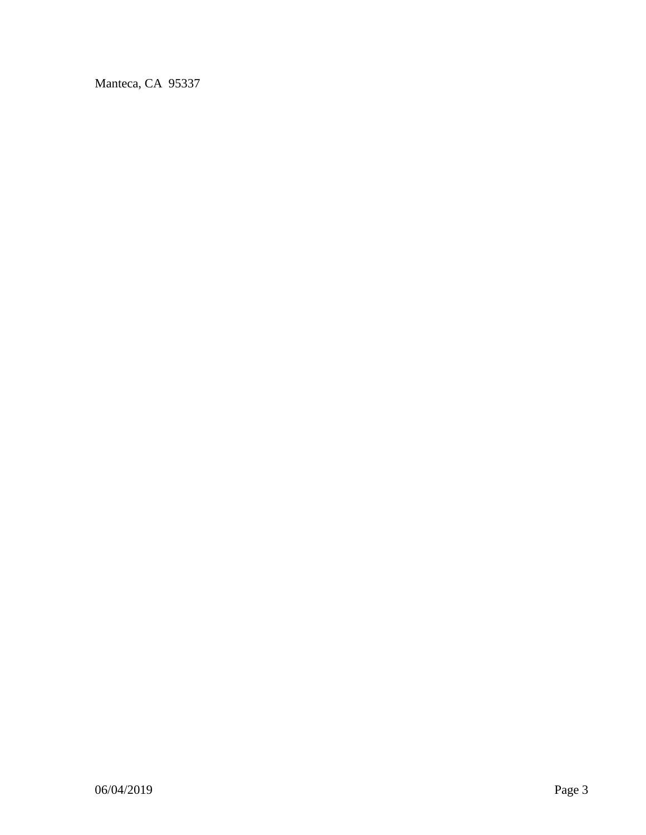Manteca, CA 95337